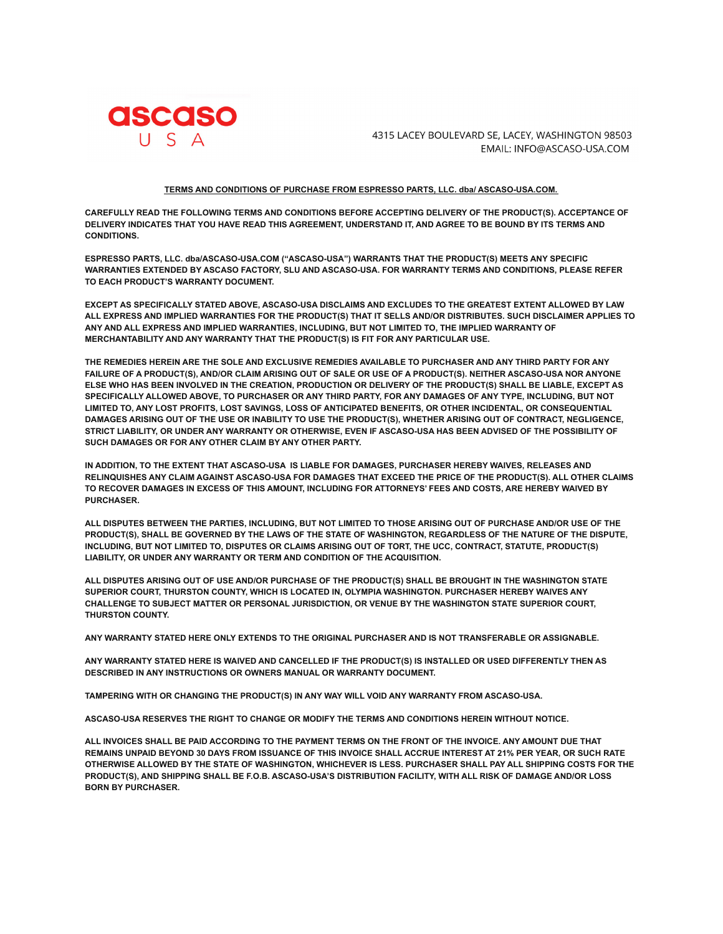

4315 LACEY BOULEVARD SE, LACEY, WASHINGTON 98503 EMAIL: INFO@ASCASO-USA.COM

## **TERMS AND CONDITIONS OF PURCHASE FROM ESPRESSO PARTS, LLC. dba/ ASCASO-USA.COM.**

**CAREFULLY READ THE FOLLOWING TERMS AND CONDITIONS BEFORE ACCEPTING DELIVERY OF THE PRODUCT(S). ACCEPTANCE OF** DELIVERY INDICATES THAT YOU HAVE READ THIS AGREEMENT, UNDERSTAND IT, AND AGREE TO BE BOUND BY ITS TERMS AND **CONDITIONS.**

**ESPRESSO PARTS, LLC. dba/ASCASO-USA.COM ("ASCASO-USA") WARRANTS THAT THE PRODUCT(S) MEETS ANY SPECIFIC WARRANTIES EXTENDED BY ASCASO FACTORY, SLU AND ASCASO-USA. FOR WARRANTY TERMS AND CONDITIONS, PLEASE REFER TO EACH PRODUCT'S WARRANTY DOCUMENT.**

**EXCEPT AS SPECIFICALLY STATED ABOVE, ASCASO-USA DISCLAIMS AND EXCLUDES TO THE GREATEST EXTENT ALLOWED BY LAW** ALL EXPRESS AND IMPLIED WARRANTIES FOR THE PRODUCT(S) THAT IT SELLS AND/OR DISTRIBUTES. SUCH DISCLAIMER APPLIES TO **ANY AND ALL EXPRESS AND IMPLIED WARRANTIES, INCLUDING, BUT NOT LIMITED TO, THE IMPLIED WARRANTY OF MERCHANTABILITY AND ANY WARRANTY THAT THE PRODUCT(S) IS FIT FOR ANY PARTICULAR USE.**

THE REMEDIES HEREIN ARE THE SOLE AND EXCLUSIVE REMEDIES AVAILABLE TO PURCHASER AND ANY THIRD PARTY FOR ANY FAILURE OF A PRODUCT(S), AND/OR CLAIM ARISING OUT OF SALE OR USE OF A PRODUCT(S). NEITHER ASCASO-USA NOR ANYONE ELSE WHO HAS BEEN INVOLVED IN THE CREATION, PRODUCTION OR DELIVERY OF THE PRODUCT(S) SHALL BE LIABLE, EXCEPT AS SPECIFICALLY ALLOWED ABOVE, TO PURCHASER OR ANY THIRD PARTY, FOR ANY DAMAGES OF ANY TYPE, INCLUDING, BUT NOT **LIMITED TO, ANY LOST PROFITS, LOST SAVINGS, LOSS OF ANTICIPATED BENEFITS, OR OTHER INCIDENTAL, OR CONSEQUENTIAL** DAMAGES ARISING OUT OF THE USE OR INABILITY TO USE THE PRODUCT(S), WHETHER ARISING OUT OF CONTRACT, NEGLIGENCE, STRICT LIABILITY, OR UNDER ANY WARRANTY OR OTHERWISE. EVEN IF ASCASO-USA HAS BEEN ADVISED OF THE POSSIBILITY OF **SUCH DAMAGES OR FOR ANY OTHER CLAIM BY ANY OTHER PARTY.**

**IN ADDITION, TO THE EXTENT THAT ASCASO-USA IS LIABLE FOR DAMAGES, PURCHASER HEREBY WAIVES, RELEASES AND** RELINQUISHES ANY CLAIM AGAINST ASCASO-USA FOR DAMAGES THAT EXCEED THE PRICE OF THE PRODUCT(S). ALL OTHER CLAIMS TO RECOVER DAMAGES IN EXCESS OF THIS AMOUNT, INCLUDING FOR ATTORNEYS' FEES AND COSTS, ARE HEREBY WAIVED BY **PURCHASER.**

ALL DISPUTES BETWEEN THE PARTIES, INCLUDING, BUT NOT LIMITED TO THOSE ARISING OUT OF PURCHASE AND/OR USE OF THE PRODUCT(S), SHALL BE GOVERNED BY THE LAWS OF THE STATE OF WASHINGTON, REGARDLESS OF THE NATURE OF THE DISPUTE, INCLUDING, BUT NOT LIMITED TO, DISPUTES OR CLAIMS ARISING OUT OF TORT, THE UCC, CONTRACT, STATUTE, PRODUCT(S) **LIABILITY, OR UNDER ANY WARRANTY OR TERM AND CONDITION OF THE ACQUISITION.**

ALL DISPUTES ARISING OUT OF USE AND/OR PURCHASE OF THE PRODUCT(S) SHALL BE BROUGHT IN THE WASHINGTON STATE **SUPERIOR COURT, THURSTON COUNTY, WHICH IS LOCATED IN, OLYMPIA WASHINGTON. PURCHASER HEREBY WAIVES ANY CHALLENGE TO SUBJECT MATTER OR PERSONAL JURISDICTION, OR VENUE BY THE WASHINGTON STATE SUPERIOR COURT, THURSTON COUNTY.**

**ANY WARRANTY STATED HERE ONLY EXTENDS TO THE ORIGINAL PURCHASER AND IS NOT TRANSFERABLE OR ASSIGNABLE.**

ANY WARRANTY STATED HERE IS WAIVED AND CANCELLED IF THE PRODUCT(S) IS INSTALLED OR USED DIFFERENTLY THEN AS **DESCRIBED IN ANY INSTRUCTIONS OR OWNERS MANUAL OR WARRANTY DOCUMENT.**

**TAMPERING WITH OR CHANGING THE PRODUCT(S) IN ANY WAY WILL VOID ANY WARRANTY FROM ASCASO-USA.**

**ASCASO-USA RESERVES THE RIGHT TO CHANGE OR MODIFY THE TERMS AND CONDITIONS HEREIN WITHOUT NOTICE.**

ALL INVOICES SHALL BE PAID ACCORDING TO THE PAYMENT TERMS ON THE FRONT OF THE INVOICE. ANY AMOUNT DUE THAT REMAINS UNPAID BEYOND 30 DAYS FROM ISSUANCE OF THIS INVOICE SHALL ACCRUE INTEREST AT 21% PER YEAR, OR SUCH RATE OTHERWISE ALLOWED BY THE STATE OF WASHINGTON, WHICHEVER IS LESS. PURCHASER SHALL PAY ALL SHIPPING COSTS FOR THE **PRODUCT(S), AND SHIPPING SHALL BE F.O.B. ASCASO-USA'S DISTRIBUTION FACILITY, WITH ALL RISK OF DAMAGE AND/OR LOSS BORN BY PURCHASER.**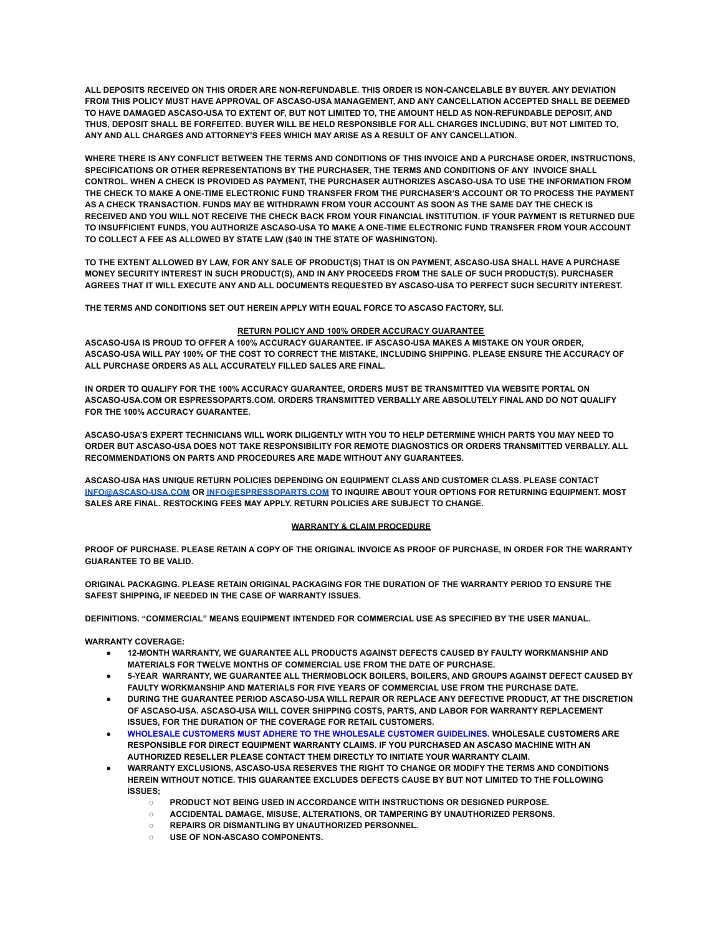**ALL DEPOSITS RECEIVED ON THIS ORDER ARE NON-REFUNDABLE. THIS ORDER IS NON-CANCELABLE BY BUYER. ANY DEVIATION FROM THIS POLICY MUST HAVE APPROVAL OF ASCASO-USA MANAGEMENT, AND ANY CANCELLATION ACCEPTED SHALL BE DEEMED** TO HAVE DAMAGED ASCASO-USA TO EXTENT OF. BUT NOT LIMITED TO. THE AMOUNT HELD AS NON-REFUNDABLE DEPOSIT. AND THUS, DEPOSIT SHALL BE FORFEITED. BUYER WILL BE HELD RESPONSIBLE FOR ALL CHARGES INCLUDING, BUT NOT LIMITED TO, **ANY AND ALL CHARGES AND ATTORNEY'S FEES WHICH MAY ARISE AS A RESULT OF ANY CANCELLATION.**

WHERE THERE IS ANY CONFLICT BETWEEN THE TERMS AND CONDITIONS OF THIS INVOICE AND A PURCHASE ORDER. INSTRUCTIONS. **SPECIFICATIONS OR OTHER REPRESENTATIONS BY THE PURCHASER, THE TERMS AND CONDITIONS OF ANY INVOICE SHALL** CONTROL, WHEN A CHECK IS PROVIDED AS PAYMENT. THE PURCHASER AUTHORIZES ASCASO-USA TO USE THE INFORMATION FROM THE CHECK TO MAKE A ONE-TIME ELECTRONIC FUND TRANSFER FROM THE PURCHASER'S ACCOUNT OR TO PROCESS THE PAYMENT AS A CHECK TRANSACTION. FUNDS MAY BE WITHDRAWN FROM YOUR ACCOUNT AS SOON AS THE SAME DAY THE CHECK IS RECEIVED AND YOU WILL NOT RECEIVE THE CHECK BACK FROM YOUR FINANCIAL INSTITUTION. IF YOUR PAYMENT IS RETURNED DUE **TO INSUFFICIENT FUNDS, YOU AUTHORIZE ASCASO-USA TO MAKE A ONE-TIME ELECTRONIC FUND TRANSFER FROM YOUR ACCOUNT TO COLLECT A FEE AS ALLOWED BY STATE LAW (\$40 IN THE STATE OF WASHINGTON).**

TO THE EXTENT ALLOWED BY LAW. FOR ANY SALE OF PRODUCT(S) THAT IS ON PAYMENT. ASCASO-USA SHALL HAVE A PURCHASE MONEY SECURITY INTEREST IN SUCH PRODUCT(S), AND IN ANY PROCEEDS FROM THE SALE OF SUCH PRODUCT(S). PURCHASER AGREES THAT IT WILL EXECUTE ANY AND ALL DOCUMENTS REQUESTED BY ASCASO-USA TO PERFECT SUCH SECURITY INTEREST.

**THE TERMS AND CONDITIONS SET OUT HEREIN APPLY WITH EQUAL FORCE TO ASCASO FACTORY, SLI.**

## **RETURN POLICY AND 100% ORDER ACCURACY GUARANTEE**

**ASCASO-USA IS PROUD TO OFFER A 100% ACCURACY GUARANTEE. IF ASCASO-USA MAKES A MISTAKE ON YOUR ORDER,** ASCASO-USA WILL PAY 100% OF THE COST TO CORRECT THE MISTAKE, INCLUDING SHIPPING. PLEASE ENSURE THE ACCURACY OF **ALL PURCHASE ORDERS AS ALL ACCURATELY FILLED SALES ARE FINAL.**

**IN ORDER TO QUALIFY FOR THE 100% ACCURACY GUARANTEE, ORDERS MUST BE TRANSMITTED VIA WEBSITE PORTAL ON ASCASO-USA.COM OR ESPRESSOPARTS.COM. ORDERS TRANSMITTED VERBALLY ARE ABSOLUTELY FINAL AND DO NOT QUALIFY FOR THE 100% ACCURACY GUARANTEE.**

ASCASO-USA'S EXPERT TECHNICIANS WILL WORK DILIGENTLY WITH YOU TO HELP DETERMINE WHICH PARTS YOU MAY NEED TO **ORDER BUT ASCASO-USA DOES NOT TAKE RESPONSIBILITY FOR REMOTE DIAGNOSTICS OR ORDERS TRANSMITTED VERBALLY. ALL RECOMMENDATIONS ON PARTS AND PROCEDURES ARE MADE WITHOUT ANY GUARANTEES.**

**ASCASO-USA HAS UNIQUE RETURN POLICIES DEPENDING ON EQUIPMENT CLASS AND CUSTOMER CLASS. PLEASE CONTACT [INFO@ASCASO-USA.COM](mailto:INFO@ASCASO-USA.COM) OR [INFO@ESPRESSOPARTS.COM](mailto:INFO@ESPRESSOPARTS.COM) TO INQUIRE ABOUT YOUR OPTIONS FOR RETURNING EQUIPMENT. MOST SALES ARE FINAL. RESTOCKING FEES MAY APPLY. RETURN POLICIES ARE SUBJECT TO CHANGE.**

## **WARRANTY & CLAIM PROCEDURE**

PROOF OF PURCHASE. PLEASE RETAIN A COPY OF THE ORIGINAL INVOICE AS PROOF OF PURCHASE, IN ORDER FOR THE WARRANTY **GUARANTEE TO BE VALID.**

**ORIGINAL PACKAGING. PLEASE RETAIN ORIGINAL PACKAGING FOR THE DURATION OF THE WARRANTY PERIOD TO ENSURE THE SAFEST SHIPPING, IF NEEDED IN THE CASE OF WARRANTY ISSUES.**

**DEFINITIONS. "COMMERCIAL" MEANS EQUIPMENT INTENDED FOR COMMERCIAL USE AS SPECIFIED BY THE USER MANUAL.**

**WARRANTY COVERAGE:**

- **● 12-MONTH WARRANTY, WE GUARANTEE ALL PRODUCTS AGAINST DEFECTS CAUSED BY FAULTY WORKMANSHIP AND MATERIALS FOR TWELVE MONTHS OF COMMERCIAL USE FROM THE DATE OF PURCHASE.**
- **● 5-YEAR WARRANTY, WE GUARANTEE ALL THERMOBLOCK BOILERS, BOILERS, AND GROUPS AGAINST DEFECT CAUSED BY FAULTY WORKMANSHIP AND MATERIALS FOR FIVE YEARS OF COMMERCIAL USE FROM THE PURCHASE DATE.**
- **● DURING THE GUARANTEE PERIOD ASCASO-USA WILL REPAIR OR REPLACE ANY DEFECTIVE PRODUCT, AT THE DISCRETION OF ASCASO-USA. ASCASO-USA WILL COVER SHIPPING COSTS, PARTS, AND LABOR FOR WARRANTY REPLACEMENT ISSUES, FOR THE DURATION OF THE COVERAGE FOR RETAIL CUSTOMERS.**
- **● WHOLESALE CUSTOMERS MUST ADHERE TO THE WHOLESALE CUSTOMER GUIDELINES. WHOLESALE CUSTOMERS ARE RESPONSIBLE FOR DIRECT EQUIPMENT WARRANTY CLAIMS. IF YOU PURCHASED AN ASCASO MACHINE WITH AN AUTHORIZED RESELLER PLEASE CONTACT THEM DIRECTLY TO INITIATE YOUR WARRANTY CLAIM.**
- **● WARRANTY EXCLUSIONS, ASCASO-USA RESERVES THE RIGHT TO CHANGE OR MODIFY THE TERMS AND CONDITIONS HEREIN WITHOUT NOTICE. THIS GUARANTEE EXCLUDES DEFECTS CAUSE BY BUT NOT LIMITED TO THE FOLLOWING ISSUES;**
	- **○ PRODUCT NOT BEING USED IN ACCORDANCE WITH INSTRUCTIONS OR DESIGNED PURPOSE.**
	- **○ ACCIDENTAL DAMAGE, MISUSE, ALTERATIONS, OR TAMPERING BY UNAUTHORIZED PERSONS.**
	- **○ REPAIRS OR DISMANTLING BY UNAUTHORIZED PERSONNEL.**
	- **○ USE OF NON-ASCASO COMPONENTS.**